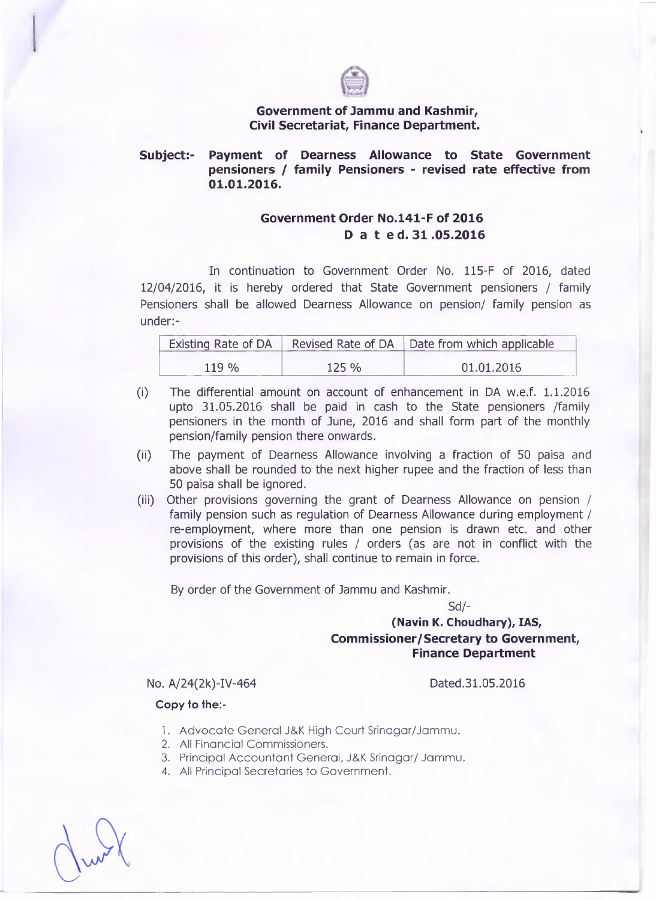## **Government of Jammu and Kashmir, Civil Secretariat, Finance Department.**

### **Subject:- Payment of Dearness Allowance to State Government pensioners / family Pensioners - revised rate effective from 01.01.2016.**

# **Government Order No.l41-F of 2016 D a t ed. 31 .05.2016**

**In continuation to Government Order No. 115-F of 2016, dated 12/04/2016, it is hereby ordered that State Government pensioners / family Pensioners shall be allowed Dearness Allowance on pension/ family pension as under:-**

|       |          | Existing Rate of DA Revised Rate of DA Date from which applicable |
|-------|----------|-------------------------------------------------------------------|
| 119 % | $125 \%$ | 01.01.2016                                                        |

- **(i) The differential amount on account of enhancement in DA w.e.f. 1.1.2016 upto 31.05.2016 shall be paid in cash to the State pensioners /family pensioners in the month of June, 2016 and shall form part of the monthly pension/family pension there onwards.**
- **(ii) The payment of Dearness Allowance involving a fraction of 50 paisa and above shall be rounded to the next higher rupee and the fraction of less than 50 paisa shall be ignored.**
- **(iii) Other provisions governing the grant of Dearness Allowance on pension / family pension such as regulation of Dearness Allowance during employment / re-employment, where more than one pension is drawn etc. and other provisions of the existing rules / orders (as are not in conflict with the provisions of this order), shall continue to remain in force.**

**By order of the Government of Jammu and Kashmir.**

**Sd/-**

# **(Navin K. Choudhary), IAS, Commissioner/Secretary to Government, Finance Department**

No. A/24(2k)-IV-464 Dated.31.05.2016

#### **Copy to the:-**

- 1. Advocate General J&K High Court Srinagar/Jammu.
- **2.** All Financial Commissioners.
- 3. Principal Accountant General, J&K Srinagar/ Jammu.
- 4. All Principal Secretaries to Government.